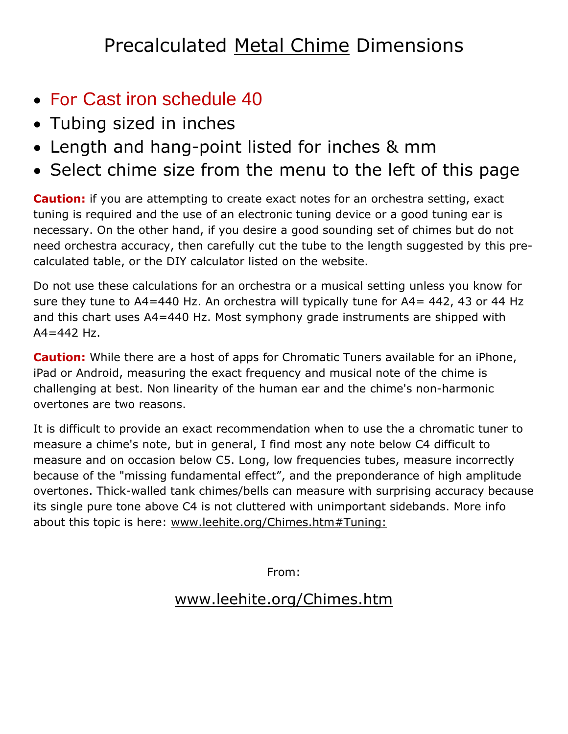## Precalculated Metal Chime Dimensions

- For Cast iron schedule 40
- Tubing sized in inches
- Length and hang-point listed for inches & mm
- Select chime size from the menu to the left of this page

**Caution:** if you are attempting to create exact notes for an orchestra setting, exact tuning is required and the use of an electronic tuning device or a good tuning ear is necessary. On the other hand, if you desire a good sounding set of chimes but do not need orchestra accuracy, then carefully cut the tube to the length suggested by this precalculated table, or the DIY calculator listed on the website.

Do not use these calculations for an orchestra or a musical setting unless you know for sure they tune to  $A4=440$  Hz. An orchestra will typically tune for  $A4=442$ , 43 or 44 Hz and this chart uses A4=440 Hz. Most symphony grade instruments are shipped with  $A4 = 442$  Hz.

**Caution:** While there are a host of apps for Chromatic Tuners available for an iPhone, iPad or Android, measuring the exact frequency and musical note of the chime is challenging at best. Non linearity of the human ear and the chime's non-harmonic overtones are two reasons.

It is difficult to provide an exact recommendation when to use the a chromatic tuner to measure a chime's note, but in general, I find most any note below C4 difficult to measure and on occasion below C5. Long, low frequencies tubes, measure incorrectly because of the "missing fundamental effect", and the preponderance of high amplitude overtones. Thick-walled tank chimes/bells can measure with surprising accuracy because its single pure tone above C4 is not cluttered with unimportant sidebands. More info about this topic is here: [www.leehite.org/Chimes.htm#Tuning:](http://leehite.org/Chimes.htm#Tuning:)

From:

## [www.leehite.org/Chimes.htm](http://www.leehite.org/Chimes.htm)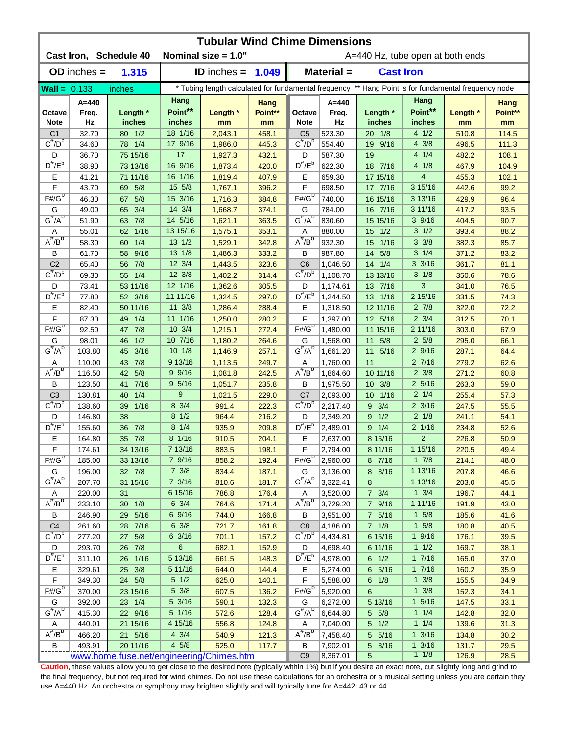| <b>Tubular Wind Chime Dimensions</b> |                                          |                        |                    |                      |                |                                     |                      |                     |                                                                                                      |                |               |  |
|--------------------------------------|------------------------------------------|------------------------|--------------------|----------------------|----------------|-------------------------------------|----------------------|---------------------|------------------------------------------------------------------------------------------------------|----------------|---------------|--|
|                                      |                                          | Cast Iron, Schedule 40 |                    | Nominal size = 1.0"  |                | A=440 Hz, tube open at both ends    |                      |                     |                                                                                                      |                |               |  |
|                                      | $OD$ inches $=$                          | 1.315                  |                    | <b>ID</b> inches $=$ | 1.049          |                                     | Material =           | <b>Cast Iron</b>    |                                                                                                      |                |               |  |
| $Wall = 0.133$                       |                                          | inches                 |                    |                      |                |                                     |                      |                     | * Tubing length calculated for fundamental frequency ** Hang Point is for fundamental frequency node |                |               |  |
|                                      | A=440                                    |                        | Hang               |                      | Hang           |                                     | $A=440$              |                     | Hang                                                                                                 |                | Hang          |  |
| Octave                               | Freq.                                    | Length *               | Point**            | Length *             | Point**        | Octave                              | Freq.                | Length *            | Point**                                                                                              | Length *       | Point**       |  |
| <b>Note</b>                          | Hz                                       | inches                 | inches             | mm                   | mm             | <b>Note</b>                         | Hz                   | inches              | inches                                                                                               | mm             | mm            |  |
| C <sub>1</sub>                       | 32.70                                    | 80 1/2                 | 18 1/16            | 2,043.1              | 458.1          | C <sub>5</sub>                      | 523.30               | $20 \t1/8$          | 41/2                                                                                                 | 510.8          | 114.5         |  |
| $C^{\#}/D^b$                         | 34.60                                    | 78 1/4                 | 17 9/16            | 1,986.0              | 445.3          | $C^{\#}/D^D$                        | 554.40               | 9/16<br>19          | $4 \frac{3}{8}$                                                                                      | 496.5          | 111.3         |  |
| D<br>$D^{\#}/E^b$                    | 36.70                                    | 75 15/16               | 17                 | 1,927.3              | 432.1          | D<br>$D^{\prime\prime}/E^b$         | 587.30               | 19                  | 41/4                                                                                                 | 482.2          | 108.1         |  |
|                                      | 38.90                                    | 73 13/16               | 16 9/16<br>16 1/16 | 1,873.4              | 420.0          |                                     | 622.30               | 18 7/16             | 41/8<br>$\overline{\mathbf{4}}$                                                                      | 467.9          | 104.9         |  |
| Е<br>F                               | 41.21<br>43.70                           | 71 11/16<br>5/8<br>69  | 15 5/8             | 1,819.4<br>1,767.1   | 407.9<br>396.2 | Ε<br>F                              | 659.30<br>698.50     | 17 15/16<br>17 7/16 | 3 15/16                                                                                              | 455.3<br>442.6 | 102.1<br>99.2 |  |
| $F# / G^D$                           | 46.30                                    | 5/8<br>67              | 15 3/16            | 1,716.3              | 384.8          | $F# / G^D$                          | 740.00               | 16 15/16            | 3 13/16                                                                                              | 429.9          | 96.4          |  |
| G                                    | 49.00                                    | 3/4<br>65              | 14 3/4             | 1,668.7              | 374.1          | G                                   | 784.00               | 16 7/16             | 3 11/16                                                                                              | 417.2          | 93.5          |  |
| $G^{\#}/A^D$                         | 51.90                                    | 63 7/8                 | 14 5/16            | 1,621.1              | 363.5          | $G^H/A^D$                           | 830.60               | 15 15/16            | 39/16                                                                                                | 404.5          | 90.7          |  |
| Α                                    | 55.01                                    | 1/16<br>62             | 13 15/16           | 1,575.1              | 353.1          | Α                                   | 880.00               | 1/2<br>15           | $3 \frac{1}{2}$                                                                                      | 393.4          | 88.2          |  |
| $A^{\#}/B^{\circ}$                   | 58.30                                    | 1/4<br>60              | 13 1/2             | 1,529.1              | 342.8          | $A^H/B^D$                           | 932.30               | 1/16<br>15          | $3 \frac{3}{8}$                                                                                      | 382.3          | 85.7          |  |
| В                                    | 61.70                                    | 9/16<br>58             | 13 1/8             | 1,486.3              | 333.2          | B                                   | 987.80               | 5/8<br>14           | $3 \t1/4$                                                                                            | 371.2          | 83.2          |  |
| C <sub>2</sub>                       | 65.40                                    | 56 7/8                 | 12 3/4             | 1,443.5              | 323.6          | C <sub>6</sub>                      | 1,046.50             | $14 \quad 1/4$      | $3 \frac{3}{16}$                                                                                     | 361.7          | 81.1          |  |
| $C^{\prime\prime}/D^D$               | 69.30                                    | 55 1/4                 | 12 3/8             | 1,402.2              | 314.4          | $\overline{C''}/D^D$                | 1,108.70             | 13 13/16            | $3 \frac{1}{8}$                                                                                      | 350.6          | 78.6          |  |
| D                                    | 73.41                                    | 53 11/16               | 12 1/16            | 1,362.6              | 305.5          | D                                   | 1,174.61             | 7/16<br>13          | 3                                                                                                    | 341.0          | 76.5          |  |
| $D^{\pi}/E^b$                        | 77.80                                    | 52 3/16                | 11 11/16           | 1,324.5              | 297.0          | $D^{\pi}/E^b$                       | 1,244.50             | 13 1/16             | 2 15/16                                                                                              | 331.5          | 74.3          |  |
| Е                                    | 82.40                                    | 50 11/16               | $11 \frac{3}{8}$   | 1,286.4              | 288.4          | Е                                   | 1,318.50             | 12 11/16            | $2 \frac{7}{8}$                                                                                      | 322.0          | 72.2          |  |
| F                                    | 87.30                                    | 49<br>1/4              | 11 1/16            | 1,250.0              | 280.2          | F                                   | 1,397.00             | 12 5/16             | $2 \frac{3}{4}$                                                                                      | 312.5          | 70.1          |  |
| $F# / G^D$                           | 92.50                                    | 7/8<br>47              | 10 3/4             | 1,215.1              | 272.4          | $F# / G^D$                          | 1,480.00             | 11 15/16            | 2 11/16                                                                                              | 303.0          | 67.9          |  |
| G                                    | 98.01                                    | 1/2<br>46              | 10 7/16            | 1,180.2              | 264.6          | G                                   | 1,568.00             | 5/8<br>11           | $2\,5/8$                                                                                             | 295.0          | 66.1          |  |
| $G^{\#}/A^D$                         | 103.80                                   | 3/16<br>45             | $10 \t1/8$         | 1,146.9              | 257.1          | $G^{\#}/A^D$                        | 1,661.20             | 11<br>5/16          | 29/16                                                                                                | 287.1          | 64.4          |  |
| Α                                    | 110.00                                   | 7/8<br>43              | 9 13/16            | 1,113.5              | 249.7          | Α                                   | 1,760.00             | 11                  | 27/16                                                                                                | 279.2          | 62.6          |  |
| $A^H/B^D$                            | 116.50                                   | 5/8<br>42              | $9 \frac{9}{16}$   | 1,081.8              | 242.5          | $A^{\#}/B^D$                        | 1,864.60             | 10 11/16            | $2 \frac{3}{8}$                                                                                      | 271.2          | 60.8          |  |
| В                                    | 123.50                                   | $7/16$<br>41           | 95/16              | 1,051.7              | 235.8          | B                                   | 1,975.50             | 10 3/8              | $2\frac{5}{16}$                                                                                      | 263.3          | 59.0          |  |
| C <sub>3</sub>                       | 130.81                                   | 1/4<br>40              | 9                  | 1,021.5              | 229.0          | C <sub>7</sub>                      | 2,093.00             | $10 \t1/16$         | $2 \frac{1}{4}$                                                                                      | 255.4          | 57.3          |  |
| $C^{\#}/D^b$                         | 138.60                                   | 1/16<br>39             | 8 3/4              | 991.4                | 222.3          | $C^{\prime\prime}/D^{\prime\prime}$ | 2,217.40             | $9 \t3/4$           | $2 \frac{3}{16}$                                                                                     | 247.5          | 55.5          |  |
| D                                    | 146.80                                   | 38                     | $8 \frac{1}{2}$    | 964.4                | 216.2          | D                                   | 2,349.20             | 9 1/2               | $2 \frac{1}{8}$                                                                                      | 241.1          | 54.1          |  |
| $D^{\#}/E^b$                         | 155.60                                   | 7/8<br>36              | 8 1/4              | 935.9                | 209.8          | $D^{\#}/E^b$                        | 2,489.01             | 9 1/4               | 2 1/16                                                                                               | 234.8          | 52.6          |  |
| Е                                    | 164.80                                   | 35 7/8                 | 8 1/16<br>7 13/16  | 910.5                | 204.1          | Е                                   | 2,637.00             | 8 15/16             | $\overline{2}$<br>115/16                                                                             | 226.8          | 50.9          |  |
| F<br>$F#/\overline{G}^{\sigma}$      | 174.61                                   | 34 13/16               | 79/16              | 883.5                | 198.1          | F<br>$F#/G^D$                       | 2,794.00             | 8 11/16             | $1 \t7/8$                                                                                            | 220.5          | 49.4          |  |
| G                                    | 185.00<br>196.00                         | 33 13/16<br>32 7/8     | $7 \frac{3}{8}$    | 858.2<br>834.4       | 192.4<br>187.1 | G                                   | 2,960.00<br>3,136.00 | 8 7/16<br>8 3/16    | 1 13/16                                                                                              | 214.1<br>207.8 | 48.0<br>46.6  |  |
| $G^{\#}/A^D$                         | 207.70                                   | 31 15/16               | $7 \frac{3}{16}$   | 810.6                | 181.7          | $G^H/A^D$                           | 3,322.41             | 8                   | 1 13/16                                                                                              | 203.0          | 45.5          |  |
| Α                                    | 220.00                                   | 31                     | 6 15/16            | 786.8                | 176.4          | Α                                   | 3,520.00             | $7 \frac{3}{4}$     | $1 \frac{3}{4}$                                                                                      | 196.7          | 44.1          |  |
| $A^{\#}/B^D$                         | 233.10                                   | $30 \t1/8$             | $6 \frac{3}{4}$    | 764.6                | 171.4          | $A^{\#}/B^D$                        | 3,729.20             | 7 9/16              | 1 11/16                                                                                              | 191.9          | 43.0          |  |
| В                                    | 246.90                                   | 29 5/16                | 6 9/16             | 744.0                | 166.8          | В                                   | 3,951.00             | 7 5/16              | $1 \t5/8$                                                                                            | 185.6          | 41.6          |  |
| C <sub>4</sub>                       | 261.60                                   | 28 7/16                | $6 \frac{3}{8}$    | 721.7                | 161.8          | C <sub>8</sub>                      | 4,186.00             | $7 \t1/8$           | $1 \t5/8$                                                                                            | 180.8          | 40.5          |  |
| $C^{\frac{\pi}{}}/D^b$               | 277.20                                   | 5/8<br>27              | 6 3/16             | 701.1                | 157.2          | $C^{\prime\prime}/D^b$              | 4,434.81             | 6 15/16             | 19/16                                                                                                | 176.1          | 39.5          |  |
| D                                    | 293.70                                   | 26 7/8                 | 6                  | 682.1                | 152.9          | D                                   | 4,698.40             | 6 11/16             | $1 \t1/2$                                                                                            | 169.7          | 38.1          |  |
| $D^{\#}/E^b$                         | 311.10                                   | 26 1/16                | 5 13/16            | 661.5                | 148.3          | $D^{\pi}/E^b$                       | 4,978.00             | $6 \t1/2$           | 17/16                                                                                                | 165.0          | 37.0          |  |
| Е                                    | 329.61                                   | 25 3/8                 | 5 11/16            | 644.0                | 144.4          | Е                                   | 5,274.00             | 6 5/16              | 17/16                                                                                                | 160.2          | 35.9          |  |
| $\mathsf F$                          | 349.30                                   | 24 5/8                 | $5 \frac{1}{2}$    | 625.0                | 140.1          | F                                   | 5,588.00             | $6 \t1/8$           | $1 \frac{3}{8}$                                                                                      | 155.5          | 34.9          |  |
| $F#/\overline{G}^D$                  | 370.00                                   | 23 15/16               | $5 \frac{3}{8}$    | 607.5                | 136.2          | $F# / G^D$                          | 5,920.00             | 6                   | $1 \frac{3}{8}$                                                                                      | 152.3          | 34.1          |  |
| G                                    | 392.00                                   | 23 1/4                 | 5 3/16             | 590.1                | 132.3          | G                                   | 6,272.00             | 5 13/16             | $1 \frac{5}{16}$                                                                                     | 147.5          | 33.1          |  |
| $G^{\#}/A^D$                         | 415.30                                   | 22 9/16                | 5 1/16             | 572.6                | 128.4          | $G^H/A^D$                           | 6,644.80             | 5 5/8               | $1 \t1/4$                                                                                            | 142.8          | 32.0          |  |
| Α                                    | 440.01                                   | 21 15/16               | 4 15/16            | 556.8                | 124.8          | A                                   | 7,040.00             | $5 \quad 1/2$       | $1 \t1/4$                                                                                            | 139.6          | 31.3          |  |
| $A^{\#}/B^{\sigma}$                  | 466.20                                   | 21 5/16                | $4 \frac{3}{4}$    | 540.9                | 121.3          | $A^H/B^D$                           | 7,458.40             | 5 5/16              | $1 \frac{3}{16}$                                                                                     | 134.8          | 30.2          |  |
| В                                    | 493.91                                   | 20 11/16               | 45/8               | 525.0                | 117.7          | B<br>C <sub>9</sub>                 | 7,902.01<br>8,367.01 | 5 3/16              | $1 \frac{3}{16}$                                                                                     | 131.7          | 29.5          |  |
|                                      | www.home.fuse.net/engineering/Chimes.htm |                        |                    |                      |                |                                     |                      | 5                   | $1 \t1/8$                                                                                            | 126.9          | 28.5          |  |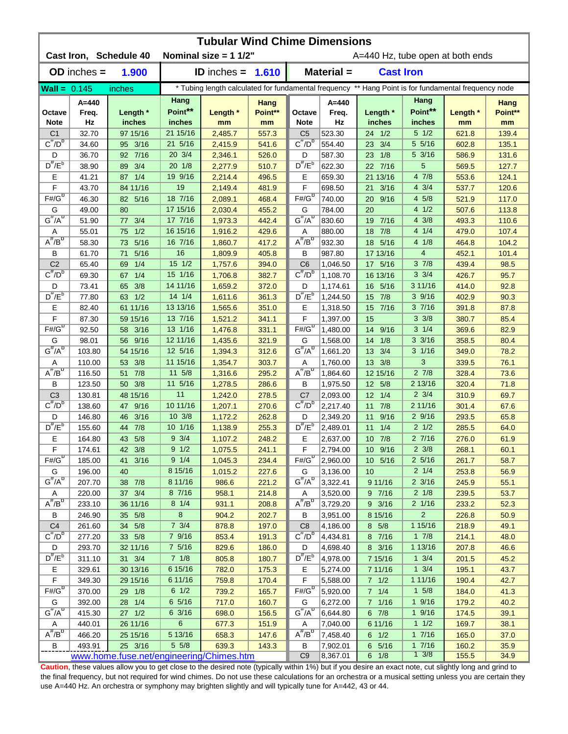| <b>Tubular Wind Chime Dimensions</b>     |                  |                                     |                     |                            |                                  |                                                                                                      |                      |                    |                       |                |                 |  |
|------------------------------------------|------------------|-------------------------------------|---------------------|----------------------------|----------------------------------|------------------------------------------------------------------------------------------------------|----------------------|--------------------|-----------------------|----------------|-----------------|--|
|                                          |                  | Cast Iron, Schedule 40              |                     | Nominal size = $11/2$ "    | A=440 Hz, tube open at both ends |                                                                                                      |                      |                    |                       |                |                 |  |
|                                          | $OD$ inches $=$  | 1.900                               |                     | <b>ID</b> inches = $1.610$ |                                  |                                                                                                      | Material =           | <b>Cast Iron</b>   |                       |                |                 |  |
| <b>Wall</b> = $0.145$                    |                  | inches                              |                     |                            |                                  | * Tubing length calculated for fundamental frequency ** Hang Point is for fundamental frequency node |                      |                    |                       |                |                 |  |
| Octave                                   | A=440<br>Freq.   | Length *                            | Hang<br>Point**     | Length *                   | Hang<br>Point**                  | Octave                                                                                               | $A=440$<br>Freq.     | Length *           | Hang<br>Point**       | Length *       | Hang<br>Point** |  |
| <b>Note</b>                              | Hz               | inches                              | inches              | mm                         | mm                               | <b>Note</b>                                                                                          | Hz                   | inches             | inches                | mm             | mm              |  |
| C <sub>1</sub>                           | 32.70            | 97 15/16                            | 21 15/16            | 2,485.7                    | 557.3                            | C <sub>5</sub>                                                                                       | 523.30               | 24 1/2             | $5 \frac{1}{2}$       | 621.8          | 139.4           |  |
| $C^{\#}/D^b$                             | 34.60            | 95 3/16                             | 21 5/16             | 2,415.9                    | 541.6                            | $C^{\#}/D^D$                                                                                         | 554.40               | 3/4<br>23          | 5 5/16                | 602.8          | 135.1           |  |
| D                                        | 36.70            | 92 7/16                             | 20 3/4              | 2,346.1                    | 526.0                            | D                                                                                                    | 587.30               | 1/8<br>23          | $5 \frac{3}{16}$      | 586.9          | 131.6           |  |
| $D^{\#}/E^b$                             | 38.90            | 3/4<br>89                           | 201/8               | 2,277.9                    | 510.7                            | $D^{\prime\prime}/E^b$                                                                               | 622.30               | 7/16<br>22         | 5                     | 569.5          | 127.7           |  |
| Е                                        | 41.21            | 87 1/4                              | 19 9/16             | 2,214.4                    | 496.5                            | Ε                                                                                                    | 659.30               | 21 13/16           | 4 7/8                 | 553.6          | 124.1           |  |
| F                                        | 43.70            | 84 11/16                            | 19                  | 2,149.4                    | 481.9                            | F                                                                                                    | 698.50               | 3/16<br>21         | $4 \frac{3}{4}$       | 537.7          | 120.6           |  |
| $F# / G^D$                               | 46.30            | 5/16<br>82                          | 18 7/16             | 2,089.1                    | 468.4                            | $F#/\overline{G}^D$                                                                                  | 740.00               | 9/16<br>20         | 4 5/8                 | 521.9          | 117.0           |  |
| G                                        | 49.00            | 80                                  | 17 15/16            | 2,030.4                    | 455.2                            | G                                                                                                    | 784.00               | 20                 | 4 1/2                 | 507.6          | 113.8           |  |
| $G^{\#}/A^D$                             | 51.90            | 3/4<br>77                           | 17 7/16             | 1,973.3                    | 442.4                            | $G^H/A^D$                                                                                            | 830.60               | 7/16<br>19         | $4 \frac{3}{8}$       | 493.3          | 110.6           |  |
| Α                                        | 55.01            | 1/2<br>75                           | 16 15/16            | 1,916.2                    | 429.6                            | Α                                                                                                    | 880.00               | 7/8<br>18          | 4 1/4                 | 479.0          | 107.4           |  |
| $A^{\#}/B^{\circ}$                       | 58.30            | 5/16<br>73                          | 16 7/16             | 1,860.7                    | 417.2                            | $A^H/B^D$                                                                                            | 932.30               | 5/16<br>18         | 41/8                  | 464.8          | 104.2           |  |
| В                                        | 61.70            | 5/16<br>71                          | 16                  | 1,809.9                    | 405.8                            | B                                                                                                    | 987.80               | 17 13/16           | 4                     | 452.1          | 101.4           |  |
| C <sub>2</sub>                           | 65.40            | 1/4<br>69                           | 15 1/2              | 1,757.6                    | 394.0                            | C <sub>6</sub>                                                                                       | 1,046.50             | 17 5/16            | 37/8                  | 439.4          | 98.5            |  |
| $C^{\prime\prime}/D^D$                   | 69.30            | 1/4<br>67                           | 15 1/16             | 1,706.8                    | 382.7                            | $\overline{C''}/D^D$                                                                                 | 1,108.70             | 16 13/16           | $3 \frac{3}{4}$       | 426.7          | 95.7            |  |
| D                                        | 73.41            | 3/8<br>65                           | 14 11/16            | 1,659.2                    | 372.0                            | D                                                                                                    | 1,174.61             | 16<br>5/16         | 3 11/16               | 414.0          | 92.8            |  |
| $D^{\pi}/E^b$                            | 77.80            | 63 1/2                              | 14 1/4              | 1,611.6                    | 361.3                            | $D^{\pi}/E^b$                                                                                        | 1,244.50             | 7/8<br>15          | 39/16                 | 402.9          | 90.3            |  |
| Е                                        | 82.40            | 61 11/16                            | 13 13/16            | 1,565.6                    | 351.0                            | Е                                                                                                    | 1,318.50             | 7/16<br>15         | 37/16                 | 391.8          | 87.8            |  |
| F<br>$F# / G^D$                          | 87.30            | 59 15/16                            | 13 7/16             | 1,521.2                    | 341.1                            | F                                                                                                    | 1,397.00             | 15                 | $3 \frac{3}{8}$       | 380.7          | 85.4            |  |
|                                          | 92.50            | 3/16<br>58                          | 13 1/16             | 1,476.8                    | 331.1                            | $F# / G^D$                                                                                           | 1,480.00             | 14<br>9/16         | $3 \t1/4$             | 369.6          | 82.9            |  |
| G<br>$G^{\#}/A^D$                        | 98.01            | 56 9/16                             | 12 11/16            | 1,435.6                    | 321.9                            | G<br>$G^{\#}/A^D$                                                                                    | 1,568.00             | 14 1/8             | $3 \frac{3}{16}$      | 358.5          | 80.4            |  |
|                                          | 103.80<br>110.00 | 54 15/16                            | 12 5/16<br>11 15/16 | 1,394.3                    | 312.6                            |                                                                                                      | 1,661.20             | 13 3/4             | $3 \frac{1}{16}$<br>3 | 349.0          | 78.2            |  |
| Α<br>$A^H/B^D$                           |                  | 3/8<br>53                           | 11 5/8              | 1,354.7                    | 303.7                            | Α<br>$A^{\#}/B^D$                                                                                    | 1,760.00             | 13 3/8             | $2 \frac{7}{8}$       | 339.5          | 76.1            |  |
| B                                        | 116.50<br>123.50 | 7/8<br>51<br>3/8<br>50 <sub>1</sub> | 11 5/16             | 1,316.6<br>1,278.5         | 295.2<br>286.6                   | B                                                                                                    | 1,864.60<br>1,975.50 | 12 15/16<br>12 5/8 | 2 13/16               | 328.4<br>320.4 | 73.6<br>71.8    |  |
| C <sub>3</sub>                           | 130.81           | 48 15/16                            | 11                  | 1,242.0                    | 278.5                            | C <sub>7</sub>                                                                                       | 2,093.00             | $12 \t1/4$         | $2 \frac{3}{4}$       | 310.9          | 69.7            |  |
| $C^{\#}/D^b$                             | 138.60           | 47 9/16                             | 10 11/16            | 1,207.1                    | 270.6                            | $C^{\prime\prime}/D^{\prime\prime}$                                                                  | 2,217.40             | 11 7/8             | 2 11/16               | 301.4          | 67.6            |  |
| D                                        | 146.80           | 3/16<br>46                          | 10 3/8              | 1,172.2                    | 262.8                            | D                                                                                                    | 2,349.20             | 9/16<br>11         | 29/16                 | 293.5          | 65.8            |  |
| $D^{\#}/E^b$                             | 155.60           | 7/8<br>44                           | 10 1/16             | 1,138.9                    | 255.3                            | $D^{\#}/E^b$                                                                                         | 2,489.01             | 11<br>1/4          | $2 \frac{1}{2}$       | 285.5          | 64.0            |  |
| Е                                        | 164.80           | 43 5/8                              | $9 \frac{3}{4}$     | 1,107.2                    | 248.2                            | Е                                                                                                    | 2,637.00             | 10 7/8             | 27/16                 | 276.0          | 61.9            |  |
| F                                        | 174.61           | 42 3/8                              | 9 1/2               | 1,075.5                    | 241.1                            | F                                                                                                    | 2,794.00             | 10 9/16            | $2 \frac{3}{8}$       | 268.1          | 60.1            |  |
| $F#/\overline{G}^{\sigma}$               | 185.00           | 41 3/16                             | $9 \t1/4$           | 1,045.3                    | 234.4                            | $F#/G^D$                                                                                             | 2,960.00             | 10 5/16            | $2\frac{5}{16}$       | 261.7          | 58.7            |  |
| G                                        | 196.00           | 40                                  | 8 15/16             | 1,015.2                    | 227.6                            | G                                                                                                    | 3,136.00             | 10                 | $2 \frac{1}{4}$       | 253.8          | 56.9            |  |
| $G^{\#}/A^D$                             | 207.70           | 38 7/8                              | 8 11/16             | 986.6                      | 221.2                            | $G^H/A^D$                                                                                            | 3,322.41             | 9 11/16            | $2 \frac{3}{16}$      | 245.9          | 55.1            |  |
| A                                        | 220.00           | 37    3/4                           | 8 7/16              | 958.1                      | 214.8                            | Α                                                                                                    | 3,520.00             | 97/16              | $2 \frac{1}{8}$       | 239.5          | 53.7            |  |
| $A^{\#}/B^D$                             | 233.10           | 36 11/16                            | $8 \t1/4$           | 931.1                      | 208.8                            | $A^{\#}/B^D$                                                                                         | 3,729.20             | $9 \frac{3}{16}$   | $2 \frac{1}{16}$      | 233.2          | 52.3            |  |
| В                                        | 246.90           | 35 5/8                              | 8                   | 904.2                      | 202.7                            | В                                                                                                    | 3,951.00             | 8 15/16            | $\overline{2}$        | 226.8          | 50.9            |  |
| C <sub>4</sub>                           | 261.60           | 34 5/8                              | $7 \frac{3}{4}$     | 878.8                      | 197.0                            | C <sub>8</sub>                                                                                       | 4,186.00             | 8 5/8              | 1 15/16               | 218.9          | 49.1            |  |
| $C^{\frac{\pi}{}}/D^b$                   | 277.20           | 33 5/8                              | 7 9/16              | 853.4                      | 191.3                            | $C^{\pi}/D^b$                                                                                        | 4,434.81             | 8 7/16             | 17/8                  | 214.1          | 48.0            |  |
| D                                        | 293.70           | 32 11/16                            | 7 5/16              | 829.6                      | 186.0                            | D                                                                                                    | 4,698.40             | 8 3/16             | 1 13/16               | 207.8          | 46.6            |  |
| $D^{\#}/E^b$                             | 311.10           | 31    3/4                           | $7 \t1/8$           | 805.8                      | 180.7                            | $D^{\pi}/E^b$                                                                                        | 4,978.00             | 7 15/16            | $1 \frac{3}{4}$       | 201.5          | 45.2            |  |
| Е                                        | 329.61           | 30 13/16                            | 6 15/16             | 782.0                      | 175.3                            | Е                                                                                                    | 5,274.00             | 7 11/16            | $1 \frac{3}{4}$       | 195.1          | 43.7            |  |
| $\mathsf F$                              | 349.30           | 29 15/16                            | 6 11/16             | 759.8                      | 170.4                            | F                                                                                                    | 5,588.00             | $7$ $1/2$          | 1 11/16               | 190.4          | 42.7            |  |
| $F#/\overline{G}^D$                      | 370.00           | 29 1/8                              | $6 \frac{1}{2}$     | 739.2                      | 165.7                            | $F# / G^D$                                                                                           | 5,920.00             | $7 \t1/4$          | $1 \t5/8$             | 184.0          | 41.3            |  |
| G                                        | 392.00           | 28 1/4                              | $6\;5/16$           | 717.0                      | 160.7                            | G                                                                                                    | 6,272.00             | 7 1/16             | 19/16                 | 179.2          | 40.2            |  |
| $G^{\#}/A^D$                             | 415.30           | $27 \t1/2$                          | 6 3/16              | 698.0                      | 156.5                            | $G^H/A^D$                                                                                            | 6,644.80             | $6$ $7/8$          | 19/16                 | 174.5          | 39.1            |  |
| Α                                        | 440.01           | 26 11/16                            | $6\phantom{.}6$     | 677.3                      | 151.9                            | A                                                                                                    | 7,040.00             | 6 11/16            | $1 \t1/2$             | 169.7          | 38.1            |  |
| $\overline{A^{\#}/B^{\sigma}}$           | 466.20           | 25 15/16                            | 5 13/16             | 658.3                      | 147.6                            | $A^H/B^D$                                                                                            | 7,458.40             | $6 \t1/2$          | 17/16                 | 165.0          | 37.0            |  |
| В                                        | 493.91           | 25 3/16                             | 5 5/8               | 639.3                      | 143.3                            | B                                                                                                    | 7,902.01             | 6 5/16             | 17/16                 | 160.2          | 35.9            |  |
| www.home.fuse.net/engineering/Chimes.htm |                  |                                     |                     |                            |                                  |                                                                                                      | 8,367.01             | $6 \t1/8$          | $1 \frac{3}{8}$       | 155.5          | 34.9            |  |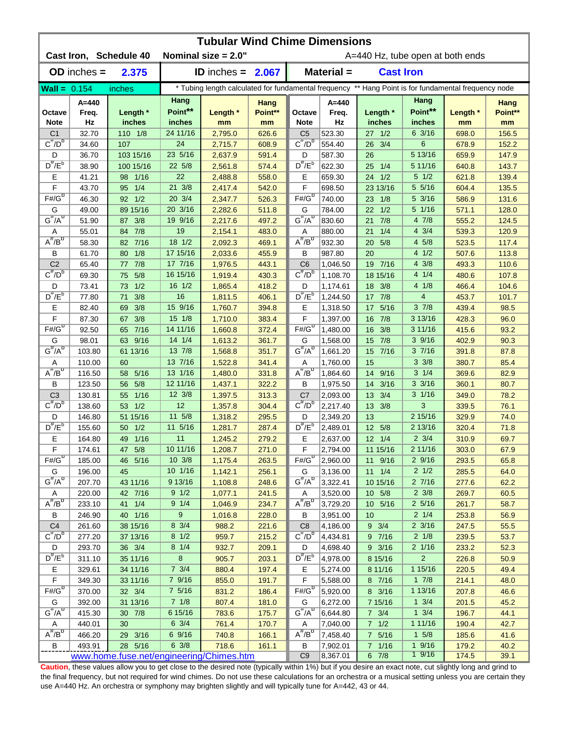| <b>Tubular Wind Chime Dimensions</b> |                  |                                          |                    |                        |                                  |                                                                                                      |                      |                         |                            |                |                 |  |
|--------------------------------------|------------------|------------------------------------------|--------------------|------------------------|----------------------------------|------------------------------------------------------------------------------------------------------|----------------------|-------------------------|----------------------------|----------------|-----------------|--|
|                                      |                  | Cast Iron, Schedule 40                   |                    | Nominal size $= 2.0$ " | A=440 Hz, tube open at both ends |                                                                                                      |                      |                         |                            |                |                 |  |
|                                      | $OD$ inches $=$  | 2.375                                    |                    | ID inches = $2.067$    |                                  |                                                                                                      | Material =           | <b>Cast Iron</b>        |                            |                |                 |  |
| Wall = $0.154$                       |                  | inches                                   |                    |                        |                                  | * Tubing length calculated for fundamental frequency ** Hang Point is for fundamental frequency node |                      |                         |                            |                |                 |  |
| Octave                               | A=440<br>Freq.   | Length *                                 | Hang<br>Point**    | Length *               | Hang<br>Point**                  | Octave                                                                                               | A=440<br>Freq.       | Length *                | Hang<br>Point**            | Length *       | Hang<br>Point** |  |
| <b>Note</b>                          | Hz               | inches                                   | inches<br>24 11/16 | mm                     | mm                               | <b>Note</b>                                                                                          | Hz                   | inches                  | inches<br>$6 \frac{3}{16}$ | mm             | mm              |  |
| C <sub>1</sub><br>$C^{\#}/D^b$       | 32.70<br>34.60   | 110 1/8<br>107                           | 24                 | 2,795.0<br>2,715.7     | 626.6<br>608.9                   | C <sub>5</sub><br>$C^{\#}/D^D$                                                                       | 523.30<br>554.40     | $27 \t1/2$<br>3/4<br>26 | 6                          | 698.0<br>678.9 | 156.5<br>152.2  |  |
| D                                    | 36.70            | 103 15/16                                | 23 5/16            | 2,637.9                | 591.4                            | D                                                                                                    | 587.30               | 26                      | 5 13/16                    | 659.9          | 147.9           |  |
| $D^{\#}/E^b$                         | 38.90            | 100 15/16                                | 22 5/8             | 2,561.8                | 574.4                            | $D^{\#}/E^b$                                                                                         | 622.30               | 1/4<br>25               | 5 11/16                    | 640.8          | 143.7           |  |
| Е                                    | 41.21            | $1/16$<br>98                             | 22                 | 2,488.8                | 558.0                            | Е                                                                                                    | 659.30               | 1/2<br>24               | $5 \frac{1}{2}$            | 621.8          | 139.4           |  |
| F                                    | 43.70            | 1/4<br>95                                | 21 3/8             | 2,417.4                | 542.0                            | F                                                                                                    | 698.50               | 23 13/16                | 5 5/16                     | 604.4          | 135.5           |  |
| $F# / G^D$                           | 46.30            | 92 1/2                                   | 20 3/4             | 2,347.7                | 526.3                            | $F#/\overline{G}^D$                                                                                  | 740.00               | 23<br>1/8               | 5 3/16                     | 586.9          | 131.6           |  |
| G                                    | 49.00            | 89 15/16                                 | 20 3/16            | 2,282.6                | 511.8                            | G                                                                                                    | 784.00               | 1/2<br>22               | 5 1/16                     | 571.1          | 128.0           |  |
| $G^{\#}/A^D$                         | 51.90            | 3/8<br>87                                | 19 9/16            | 2,217.6                | 497.2                            | $G^H/A^D$                                                                                            | 830.60               | 7/8<br>21               | 4 7/8                      | 555.2          | 124.5           |  |
| Α                                    | 55.01            | 7/8<br>84                                | 19                 | 2,154.1                | 483.0                            | Α                                                                                                    | 880.00               | 1/4<br>21               | $4 \frac{3}{4}$            | 539.3          | 120.9           |  |
| $A^{\#}/B^D$                         | 58.30            | $7/16$<br>82                             | 18 1/2             | 2,092.3                | 469.1                            | $A^H/B^D$                                                                                            | 932.30               | 5/8<br>20               | 4 5/8                      | 523.5          | 117.4           |  |
| В                                    | 61.70            | 1/8<br>80                                | 17 15/16           | 2,033.6                | 455.9                            | В                                                                                                    | 987.80               | 20                      | 4 1/2                      | 507.6          | 113.8           |  |
| C <sub>2</sub>                       | 65.40            | 7/8<br>77                                | 17 7/16            | 1,976.5                | 443.1                            | C <sub>6</sub>                                                                                       | 1,046.50             | 7/16<br>19              | $4 \frac{3}{8}$            | 493.3          | 110.6           |  |
| $C^{\#}/D^D$                         | 69.30            | 5/8<br>75                                | 16 15/16           | 1,919.4                | 430.3                            | $C^{\prime\prime}/D^D$                                                                               | 1,108.70             | 18 15/16                | 4 1/4                      | 480.6          | 107.8           |  |
| D                                    | 73.41            | 1/2<br>73                                | 16 1/2             | 1,865.4                | 418.2                            | D                                                                                                    | 1,174.61             | 3/8<br>18               | 4 1/8                      | 466.4          | 104.6           |  |
| $D^{\pi}/E^b$                        | 77.80            | 3/8<br>71                                | 16                 | 1,811.5                | 406.1                            | $D^{\pi}/E^b$                                                                                        | 1,244.50             | 17 7/8                  | $\overline{\mathbf{4}}$    | 453.7          | 101.7           |  |
| Е                                    | 82.40            | 3/8<br>69                                | 15 9/16            | 1,760.7                | 394.8                            | Е                                                                                                    | 1,318.50             | 5/16<br>17              | 37/8                       | 439.4          | 98.5            |  |
| F                                    | 87.30            | 3/8<br>67                                | 15 1/8             | 1,710.0                | 383.4                            | F                                                                                                    | 1,397.00             | 7/8<br>16               | 3 13/16                    | 428.3          | 96.0            |  |
| $F# / G^D$                           | 92.50            | 7/16<br>65                               | 14 11/16           | 1,660.8                | 372.4                            | $F#/G^D$                                                                                             | 1,480.00             | 16<br>3/8               | 3 11/16                    | 415.6          | 93.2            |  |
| G                                    | 98.01            | 9/16<br>63                               | 14 1/4             | 1,613.2                | 361.7                            | G                                                                                                    | 1,568.00             | 7/8<br>15               | 3 9/16                     | 402.9          | 90.3            |  |
| $G^{\#}/A^D$                         | 103.80           | 61 13/16                                 | 13 7/8             | 1,568.8                | 351.7                            | $G^{\#}/A^D$                                                                                         | 1,661.20             | 7/16<br>15              | 37/16                      | 391.8          | 87.8            |  |
| Α                                    | 110.00           | 60                                       | 13 7/16            | 1,522.8                | 341.4                            | Α                                                                                                    | 1,760.00             | 15                      | $3 \frac{3}{8}$            | 380.7          | 85.4            |  |
| $A^{\#}/B^{\sigma}$                  | 116.50           | 5/16<br>58                               | 13 1/16            | 1,480.0                | 331.8                            | $A^{\#}/B^D$                                                                                         | 1,864.60             | 14 9/16                 | $3 \frac{1}{4}$            | 369.6          | 82.9            |  |
| B                                    | 123.50           | 5/8<br>56                                | 12 11/16           | 1,437.1                | 322.2                            | В                                                                                                    | 1,975.50             | 14 3/16                 | $3 \frac{3}{16}$           | 360.1          | 80.7            |  |
| C <sub>3</sub><br>$C^{\#}/D^b$       | 130.81           | $1/16$<br>55                             | $12 \frac{3}{8}$   | 1,397.5                | 313.3                            | C7<br>$C^{\#}/D^D$                                                                                   | 2,093.00             | 13 3/4                  | $3 \frac{1}{16}$           | 349.0          | 78.2            |  |
|                                      | 138.60           | 1/2<br>53                                | 12<br>11 5/8       | 1,357.8                | 304.4                            |                                                                                                      | 2,217.40             | 13 3/8                  | 3<br>2 15/16               | 339.5          | 76.1            |  |
| D<br>$D^{\#}/E^b$                    | 146.80<br>155.60 | 51 15/16<br>1/2<br>50                    | 11 5/16            | 1,318.2                | 295.5<br>287.4                   | D<br>$D^{\#}/E^b$                                                                                    | 2,349.20<br>2,489.01 | 13<br>5/8<br>12         | 2 13/16                    | 329.9<br>320.4 | 74.0<br>71.8    |  |
| Е                                    | 164.80           | 49 1/16                                  | 11                 | 1,281.7<br>1,245.2     | 279.2                            | Е                                                                                                    | 2,637.00             | $12 \t1/4$              | $2 \frac{3}{4}$            | 310.9          | 69.7            |  |
| F                                    | 174.61           | 47 5/8                                   | 10 11/16           | 1,208.7                | <u>271.0</u>                     | F                                                                                                    | 2,794.00             | 11 15/16                | 2 11/16                    | 303.0          | 67.9            |  |
| $F# / G^D$                           | 185.00           | 46 5/16                                  | $10 \frac{3}{8}$   | 1,175.4                | 263.5                            | $F#/\overline{G}^D$                                                                                  | 2,960.00             | 11 9/16                 | 29/16                      | 293.5          | 65.8            |  |
| G                                    | 196.00           | 45                                       | 10 1/16            | 1,142.1                | 256.1                            | G                                                                                                    | 3,136.00             | $11 \t1/4$              | $2 \frac{1}{2}$            | 285.5          | 64.0            |  |
| $G^{\#}/A^D$                         | 207.70           | 43 11/16                                 | 9 13/16            | 1,108.8                | 248.6                            | $G^{\#}/A^D$                                                                                         | 3,322.41             | 10 15/16                | 27/16                      | 277.6          | 62.2            |  |
| Α                                    | 220.00           | 42 7/16                                  | $9 \frac{1}{2}$    | 1,077.1                | 241.5                            | Α                                                                                                    | 3,520.00             | 10 5/8                  | $2 \frac{3}{8}$            | 269.7          | 60.5            |  |
| $A^{\#}/B^D$                         | 233.10           | 41 1/4                                   | $9 \t1/4$          | 1,046.9                | 234.7                            | $A^H/B^D$                                                                                            | 3,729.20             | 10 5/16                 | $2\;5/16$                  | 261.7          | 58.7            |  |
| В                                    | 246.90           | 40 1/16                                  | 9                  | 1,016.8                | 228.0                            | В                                                                                                    | 3,951.00             | 10                      | $2 \frac{1}{4}$            | 253.8          | 56.9            |  |
| C <sub>4</sub>                       | 261.60           | 38 15/16                                 | 8 3/4              | 988.2                  | 221.6                            | C <sub>8</sub>                                                                                       | 4,186.00             | $9 \t3/4$               | $2 \frac{3}{16}$           | 247.5          | 55.5            |  |
| $C^{\frac{\pi}{}}/D^b$               | 277.20           | 37 13/16                                 | $8 \frac{1}{2}$    | 959.7                  | 215.2                            | $C^{\pi}/D^b$                                                                                        | 4,434.81             | 9 7/16                  | $2 \frac{1}{8}$            | 239.5          | 53.7            |  |
| D                                    | 293.70           | 36 3/4                                   | $8 \t1/4$          | 932.7                  | 209.1                            | D                                                                                                    | 4,698.40             | 9 3/16                  | 2 1/16                     | 233.2          | 52.3            |  |
| $D^{\#}/E^b$                         | 311.10           | 35 11/16                                 | $\bf{8}$           | 905.7                  | 203.1                            | $D^{\pi}/E^b$                                                                                        | 4,978.00             | 8 15/16                 | $\overline{2}$             | 226.8          | 50.9            |  |
| Е                                    | 329.61           | 34 11/16                                 | $7 \frac{3}{4}$    | 880.4                  | 197.4                            | Е                                                                                                    | 5,274.00             | 8 11/16                 | 1 15/16                    | 220.5          | 49.4            |  |
| $\mathsf F$                          | 349.30           | 33 11/16                                 | 7 9/16             | 855.0                  | 191.7                            | F                                                                                                    | 5,588.00             | 8 7/16                  | $1 \t7/8$                  | 214.1          | 48.0            |  |
| $F#/\overline{G}^D$                  | 370.00           | 32    3/4                                | 7 5/16             | 831.2                  | 186.4                            | $F# / G^D$                                                                                           | 5,920.00             | 8 3/16                  | 1 13/16                    | 207.8          | 46.6            |  |
| G                                    | 392.00           | 31 13/16                                 | 71/8               | 807.4                  | 181.0                            | G                                                                                                    | 6,272.00             | 7 15/16                 | $1 \frac{3}{4}$            | 201.5          | 45.2            |  |
| $G^{\#}/A^D$                         | 415.30           | 30 7/8                                   | 6 15/16            | 783.6                  | 175.7                            | $G^{\#}/A^D$                                                                                         | 6,644.80             | $7 \frac{3}{4}$         | $1 \frac{3}{4}$            | 196.7          | 44.1            |  |
| Α                                    | 440.01           | 30                                       | $6 \frac{3}{4}$    | 761.4                  | 170.7                            | Α                                                                                                    | 7,040.00             | $7 1/2$                 | 1 11/16                    | 190.4          | 42.7            |  |
| $A^H/B^D$                            | 466.20           | 29 3/16                                  | 6 9/16             | 740.8                  | 166.1                            | $A^H/B^D$                                                                                            | 7,458.40             | 7 5/16                  | $1 \t5/8$                  | 185.6          | 41.6            |  |
| В                                    | 493.91           | 28 5/16                                  | $6 \frac{3}{8}$    | 718.6                  | 161.1                            | В                                                                                                    | 7,902.01             | 7 1/16                  | 19/16<br>19/16             | 179.2          | 40.2            |  |
|                                      |                  | www.home.fuse.net/engineering/Chimes.htm |                    |                        | C <sub>9</sub>                   | 8,367.01                                                                                             | $6 \t7/8$            |                         | 174.5                      | 39.1           |                 |  |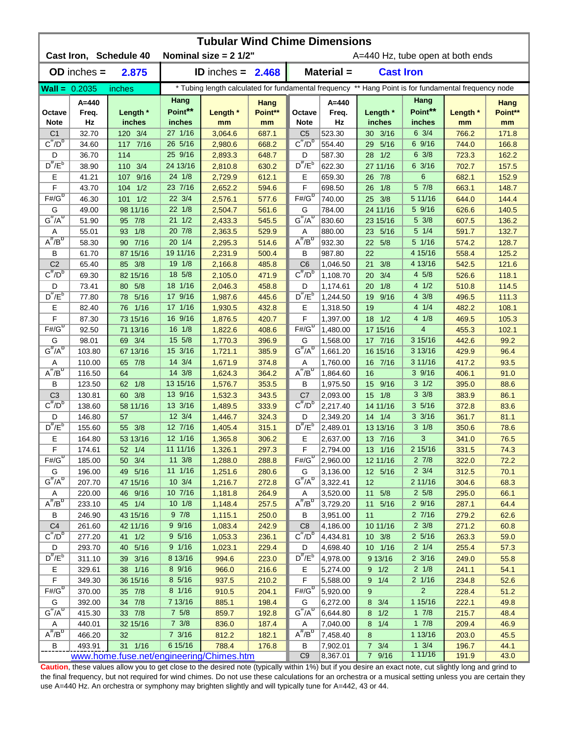| <b>Tubular Wind Chime Dimensions</b> |                                          |                        |                                  |                            |                 |                                                                                                      |                      |                       |                            |                |                 |  |
|--------------------------------------|------------------------------------------|------------------------|----------------------------------|----------------------------|-----------------|------------------------------------------------------------------------------------------------------|----------------------|-----------------------|----------------------------|----------------|-----------------|--|
|                                      |                                          | Cast Iron, Schedule 40 | A=440 Hz, tube open at both ends |                            |                 |                                                                                                      |                      |                       |                            |                |                 |  |
|                                      | $OD$ inches $=$                          | 2.875                  |                                  | <b>ID</b> inches = $2.468$ |                 |                                                                                                      | Material =           | <b>Cast Iron</b>      |                            |                |                 |  |
| <b>Wall = <math>0.2035</math></b>    |                                          | inches                 |                                  |                            |                 | * Tubing length calculated for fundamental frequency ** Hang Point is for fundamental frequency node |                      |                       |                            |                |                 |  |
| Octave                               | A=440<br>Freq.                           | Length *               | Hang<br>Point**                  | Length *                   | Hang<br>Point** | Octave                                                                                               | $A=440$<br>Freq.     | Length *              | Hang<br>Point**            | Length *       | Hang<br>Point** |  |
| <b>Note</b>                          | Hz                                       | inches                 | inches<br>27 1/16                | mm                         | mm              | <b>Note</b>                                                                                          | Hz<br>523.30         | inches                | inches<br>$6 \frac{3}{4}$  | mm             | mm              |  |
| C <sub>1</sub><br>$C^{\#}/D^b$       | 32.70<br>34.60                           | 120 3/4<br>117 7/16    | 26 5/16                          | 3,064.6<br>2,980.6         | 687.1<br>668.2  | C <sub>5</sub><br>$C^{\#}/D^D$                                                                       | 554.40               | 30 3/16<br>5/16<br>29 | 6 9/16                     | 766.2<br>744.0 | 171.8<br>166.8  |  |
| D                                    | 36.70                                    | 114                    | 25 9/16                          | 2,893.3                    | 648.7           | D                                                                                                    | 587.30               | 1/2<br>28             | $6 \frac{3}{8}$            | 723.3          | 162.2           |  |
| $D^{\#}/E^b$                         | 38.90                                    | 110 3/4                | 24 13/16                         | 2,810.8                    | 630.2           | $D^{\prime\prime}/E^b$                                                                               | 622.30               | 27 11/16              | $6 \frac{3}{16}$           | 702.7          | 157.5           |  |
| Е                                    | 41.21                                    | 9/16<br>107            | 24 1/8                           | 2,729.9                    | 612.1           | Ε                                                                                                    | 659.30               | 26 7/8                | $6\phantom{1}6$            | 682.1          | 152.9           |  |
| F                                    | 43.70                                    | 1/2<br>104             | 23 7/16                          | 2,652.2                    | 594.6           | F                                                                                                    | 698.50               | 1/8<br>26             | 5 7/8                      | 663.1          | 148.7           |  |
| $F# / G^D$                           | 46.30                                    | 1/2<br>101             | 22 3/4                           | 2,576.1                    | 577.6           | $F# / G^D$                                                                                           | 740.00               | 3/8<br>25             | 5 11/16                    | 644.0          | 144.4           |  |
| G                                    | 49.00                                    | 98 11/16               | 22 1/8                           | 2,504.7                    | 561.6           | G                                                                                                    | 784.00               | 24 11/16              | 5 9/16                     | 626.6          | 140.5           |  |
| $G^{\#}/A^D$                         | 51.90                                    | 95 7/8                 | $21 \t1/2$                       | 2,433.3                    | 545.5           | $G^H/A^D$                                                                                            | 830.60               | 23 15/16              | 5 3/8                      | 607.5          | 136.2           |  |
| Α                                    | 55.01                                    | 1/8<br>93              | 20 7/8                           | 2,363.5                    | 529.9           | Α                                                                                                    | 880.00               | 5/16<br>23            | 5 1/4                      | 591.7          | 132.7           |  |
| $A^{\#}/B^{\circ}$                   | 58.30                                    | 90 7/16                | 20 1/4                           | 2,295.3                    | 514.6           | $A^H/B^D$                                                                                            | 932.30               | 22 5/8                | 5 1/16                     | 574.2          | 128.7           |  |
| В                                    | 61.70                                    | 87 15/16               | 19 11/16                         | 2,231.9                    | 500.4           | B                                                                                                    | 987.80               | 22                    | 4 15/16                    | 558.4          | 125.2           |  |
| C <sub>2</sub>                       | 65.40                                    | 85 3/8                 | 19 1/8                           | 2,166.8                    | 485.8           | C <sub>6</sub>                                                                                       | 1,046.50             | 3/8<br>21             | 4 13/16                    | 542.5          | 121.6           |  |
| $C^{\prime\prime}/D^D$               | 69.30                                    | 82 15/16               | 18 5/8                           | 2,105.0                    | 471.9           | $\overline{C''}/D^D$                                                                                 | 1,108.70             | 20<br>3/4             | 4 5/8                      | 526.6          | 118.1           |  |
| D                                    | 73.41                                    | 5/8<br>80              | 18 1/16                          | 2,046.3                    | 458.8           | D                                                                                                    | 1,174.61             | 1/8<br>20             | 41/2                       | 510.8          | 114.5           |  |
| $D^{\frac{\pi}{}}/E^b$               | 77.80                                    | 5/16<br>78.            | 17 9/16                          | 1,987.6                    | 445.6           | $D^{\pi}/E^b$                                                                                        | 1,244.50             | 9/16<br>19            | 4 3/8                      | 496.5          | 111.3           |  |
| Е                                    | 82.40                                    | 76 1/16                | 17 1/16                          | 1,930.5                    | 432.8           | Е                                                                                                    | 1,318.50             | 19                    | $4 \frac{1}{4}$            | 482.2          | 108.1           |  |
| F                                    | 87.30                                    | 73 15/16               | 16 9/16                          | 1,876.5                    | 420.7           | F                                                                                                    | 1,397.00             | 18 1/2                | 41/8                       | 469.5          | 105.3           |  |
| $F# / G^D$                           | 92.50                                    | 71 13/16               | 16 1/8                           | 1,822.6                    | 408.6           | $F# / G^D$                                                                                           | 1,480.00             | 17 15/16              | $\overline{\mathbf{4}}$    | 455.3          | 102.1           |  |
| G                                    | 98.01                                    | 69 3/4                 | 15 5/8                           | 1,770.3                    | 396.9           | G                                                                                                    | 1,568.00             | 17 7/16               | 3 15/16                    | 442.6          | 99.2            |  |
| $G^{\#}/A^D$                         | 103.80                                   | 67 13/16               | 15 3/16                          | 1,721.1                    | 385.9           | $G^{\#}/A^D$                                                                                         | 1,661.20             | 16 15/16              | 3 13/16                    | 429.9          | 96.4            |  |
| Α                                    | 110.00                                   | 65 7/8                 | 14 3/4                           | 1,671.9                    | 374.8           | Α                                                                                                    | 1,760.00             | 16 7/16               | 3 11/16                    | 417.2          | 93.5            |  |
| $A^H/B^D$                            | 116.50                                   | 64                     | 14 3/8                           | 1,624.3                    | 364.2           | $A^{\#}/B^D$                                                                                         | 1,864.60             | 16                    | 39/16                      | 406.1          | 91.0            |  |
| В                                    | 123.50                                   | 1/8<br>62              | 13 15/16                         | 1,576.7                    | 353.5           | B                                                                                                    | 1,975.50             | 15 9/16               | $3 \frac{1}{2}$            | 395.0          | 88.6            |  |
| C <sub>3</sub>                       | 130.81                                   | 3/8<br>60              | 13 9/16                          | 1,532.3                    | 343.5           | C <sub>7</sub>                                                                                       | 2,093.00             | $15 \t1/8$            | $3 \frac{3}{8}$            | 383.9          | 86.1            |  |
| $C^{\#}/D^b$                         | 138.60                                   | 58 11/16               | 13 3/16                          | 1,489.5                    | 333.9           | $C^{\prime\prime}/D^{\prime\prime}$                                                                  | 2,217.40             | 14 11/16              | $3\;5/16$                  | 372.8          | 83.6            |  |
| D                                    | 146.80                                   | 57                     | 12 3/4                           | 1,446.7                    | 324.3           | D                                                                                                    | 2,349.20             | $14 \quad 1/4$        | $3 \frac{3}{16}$           | 361.7          | 81.1            |  |
| $D^{\#}/E^b$                         | 155.60                                   | 55 3/8                 | 12 7/16                          | 1,405.4                    | 315.1           | $D^{\#}/E^b$                                                                                         | 2,489.01             | 13 13/16              | $3 \frac{1}{8}$            | 350.6          | 78.6            |  |
| Е                                    | 164.80                                   | 53 13/16               | 12 1/16                          | 1,365.8                    | 306.2           | Е                                                                                                    | 2,637.00             | 13 7/16               | 3                          | 341.0          | 76.5            |  |
| F                                    | 174.61                                   | 52 1/4                 | 11 11/16                         | 1,326.1                    | 297.3           | F                                                                                                    | 2,794.00             | 13 1/16               | 215/16                     | 331.5          | 74.3            |  |
| $F#/\overline{G}^{\sigma}$           | 185.00                                   | 50 3/4                 | $11 \frac{3}{8}$                 | 1,288.0                    | 288.8           | $F#/G^D$                                                                                             | 2,960.00             | 12 11/16              | $2 \frac{7}{8}$            | 322.0          | 72.2            |  |
| G<br>$G^{\#}/A^D$                    | 196.00<br>207.70                         | 49 5/16<br>47 15/16    | 11 1/16<br>10 3/4                | 1,251.6                    | 280.6<br>272.8  | G<br>$G^H/A^U$                                                                                       | 3,136.00             | 12 5/16<br>12         | $2 \frac{3}{4}$<br>2 11/16 | 312.5<br>304.6 | 70.1<br>68.3    |  |
| Α                                    |                                          | 46 9/16                | 10 7/16                          | 1,216.7                    | 264.9           | Α                                                                                                    | 3,322.41             |                       | $2\,5/8$                   |                | 66.1            |  |
| $A^{\#}/B^D$                         | 220.00<br>233.10                         | 45 1/4                 | $10 \t1/8$                       | 1,181.8<br>1,148.4         | 257.5           | $A^{\#}/B^D$                                                                                         | 3,520.00<br>3,729.20 | 11 5/8<br>11 5/16     | 29/16                      | 295.0<br>287.1 | 64.4            |  |
| В                                    | 246.90                                   | 43 15/16               | 97/8                             | 1,115.1                    | 250.0           | В                                                                                                    | 3,951.00             | 11                    | 27/16                      | 279.2          | 62.6            |  |
| C <sub>4</sub>                       | 261.60                                   | 42 11/16               | 9 9/16                           | 1,083.4                    | 242.9           | C <sub>8</sub>                                                                                       | 4,186.00             | 10 11/16              | $2 \frac{3}{8}$            | 271.2          | 60.8            |  |
| $C^{\frac{\pi}{}}/D^b$               | 277.20                                   | 41 1/2                 | 95/16                            | 1,053.3                    | 236.1           | $C^{\pi}/D^b$                                                                                        | 4,434.81             | $10 \t3/8$            | $2\frac{5}{16}$            | 263.3          | 59.0            |  |
| D                                    | 293.70                                   | 40 5/16                | 9 1/16                           | 1,023.1                    | 229.4           | D                                                                                                    | 4,698.40             | 10 1/16               | $2 \frac{1}{4}$            | 255.4          | 57.3            |  |
| $D^{\#}/E^b$                         | 311.10                                   | 39 3/16                | 8 13/16                          | 994.6                      | 223.0           | $D^{\#}/E^b$                                                                                         | 4,978.00             | 9 13/16               | $2 \frac{3}{16}$           | 249.0          | 55.8            |  |
| Е                                    | 329.61                                   | 38 1/16                | 8 9/16                           | 966.0                      | 216.6           | Е                                                                                                    | 5,274.00             | $9 \t1/2$             | $2 \frac{1}{8}$            | 241.1          | 54.1            |  |
| F                                    | 349.30                                   | 36 15/16               | 8 5/16                           | 937.5                      | 210.2           | F                                                                                                    | 5,588.00             | 9 1/4                 | $2 \frac{1}{16}$           | 234.8          | 52.6            |  |
| $F#/\overline{G}^D$                  | 370.00                                   | 35 7/8                 | 8 1/16                           | 910.5                      | 204.1           | $F# / G^D$                                                                                           | 5,920.00             | 9                     | $\overline{2}$             | 228.4          | 51.2            |  |
| G                                    | 392.00                                   | 34 7/8                 | 7 13/16                          | 885.1                      | 198.4           | G                                                                                                    | 6,272.00             | 8 3/4                 | 1 15/16                    | 222.1          | 49.8            |  |
| $G^{\#}/A^D$                         | 415.30                                   | 33 7/8                 | $7\;5/8$                         | 859.7                      | 192.8           | $G^H/A^D$                                                                                            | 6,644.80             | $8 \t1/2$             | $1 \t7/8$                  | 215.7          | 48.4            |  |
| Α                                    | 440.01                                   | 32 15/16               | $7 \frac{3}{8}$                  | 836.0                      | 187.4           | A                                                                                                    | 7,040.00             | 8 1/4                 | $1 \t7/8$                  | 209.4          | 46.9            |  |
| $A^{\#}/B^{\sigma}$                  | 466.20                                   | 32                     | $7 \frac{3}{16}$                 | 812.2                      | 182.1           | $A^H/B^D$                                                                                            | 7,458.40             | 8                     | 1 13/16                    | 203.0          | 45.5            |  |
| В                                    | 493.91                                   | 31 1/16                | 6 15/16                          | 788.4                      | 176.8           | B                                                                                                    | 7,902.01             | $7 \frac{3}{4}$       | $1 \frac{3}{4}$            | 196.7          | 44.1            |  |
|                                      | www.home.fuse.net/engineering/Chimes.htm |                        |                                  |                            |                 |                                                                                                      |                      | 7 9/16                | 111/16                     | 191.9          | 43.0            |  |